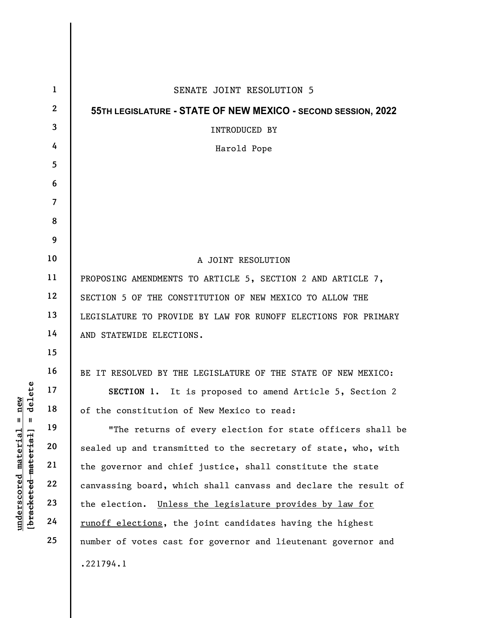|                                                                                                 | $\mathbf{1}$            | SENATE JOINT RESOLUTION 5                                       |
|-------------------------------------------------------------------------------------------------|-------------------------|-----------------------------------------------------------------|
|                                                                                                 | $\mathbf{2}$            | 55TH LEGISLATURE - STATE OF NEW MEXICO - SECOND SESSION, 2022   |
|                                                                                                 | $\overline{\mathbf{3}}$ | INTRODUCED BY                                                   |
|                                                                                                 | 4                       | Harold Pope                                                     |
|                                                                                                 | 5                       |                                                                 |
|                                                                                                 | 6                       |                                                                 |
|                                                                                                 | $\overline{7}$          |                                                                 |
|                                                                                                 | 8                       |                                                                 |
|                                                                                                 | 9                       |                                                                 |
|                                                                                                 | 10                      | A JOINT RESOLUTION                                              |
|                                                                                                 | 11                      | PROPOSING AMENDMENTS TO ARTICLE 5, SECTION 2 AND ARTICLE 7,     |
| delete                                                                                          | 12                      | SECTION 5 OF THE CONSTITUTION OF NEW MEXICO TO ALLOW THE        |
|                                                                                                 | 13                      | LEGISLATURE TO PROVIDE BY LAW FOR RUNOFF ELECTIONS FOR PRIMARY  |
|                                                                                                 | 14                      | AND STATEWIDE ELECTIONS.                                        |
|                                                                                                 | 15                      |                                                                 |
|                                                                                                 | 16                      | BE IT RESOLVED BY THE LEGISLATURE OF THE STATE OF NEW MEXICO:   |
|                                                                                                 | 17                      | SECTION 1. It is proposed to amend Article 5, Section 2         |
| new                                                                                             | 18                      | of the constitution of New Mexico to read:                      |
| $\mathbf{u}$<br>H<br>[ <del>bracketed material</del> ]<br><u>material</u><br><u>underscored</u> | 19                      | "The returns of every election for state officers shall be      |
|                                                                                                 | 20                      | sealed up and transmitted to the secretary of state, who, with  |
|                                                                                                 | 21                      | the governor and chief justice, shall constitute the state      |
|                                                                                                 | 22                      | canvassing board, which shall canvass and declare the result of |
|                                                                                                 | 23                      | the election. Unless the legislature provides by law for        |
|                                                                                                 | 24                      | runoff elections, the joint candidates having the highest       |
|                                                                                                 | 25                      | number of votes cast for governor and lieutenant governor and   |
|                                                                                                 |                         | .221794.1                                                       |
|                                                                                                 |                         |                                                                 |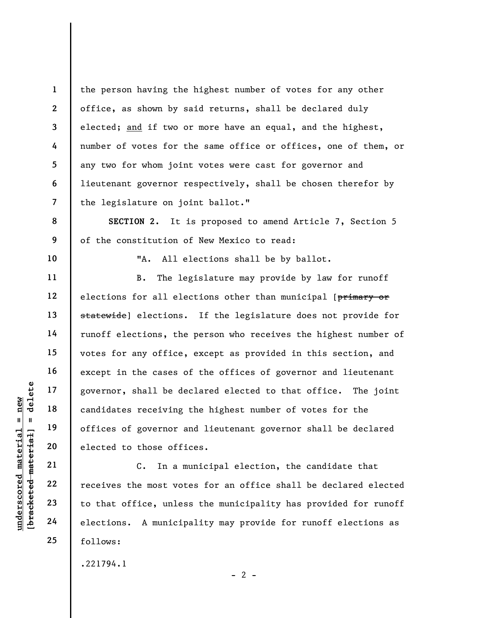the person having the highest number of votes for any other office, as shown by said returns, shall be declared duly elected; and if two or more have an equal, and the highest, number of votes for the same office or offices, one of them, or any two for whom joint votes were cast for governor and lieutenant governor respectively, shall be chosen therefor by the legislature on joint ballot."

SECTION 2. It is proposed to amend Article 7, Section 5 of the constitution of New Mexico to read:

10

11

12

13

14

15

16

17

18

19

20

21

22

23

24

25

1

2

3

4

5

6

7

8

9

"A. All elections shall be by ballot.

understand material material external to the elections of fices of governor and dates receiving<br>definition of tices of governor and the elected to those of fit<br>definition of the solution of the most voted with the most vot B. The legislature may provide by law for runoff elections for all elections other than municipal [primary or statewide] elections. If the legislature does not provide for runoff elections, the person who receives the highest number of votes for any office, except as provided in this section, and except in the cases of the offices of governor and lieutenant governor, shall be declared elected to that office. The joint candidates receiving the highest number of votes for the offices of governor and lieutenant governor shall be declared elected to those offices.

C. In a municipal election, the candidate that receives the most votes for an office shall be declared elected to that office, unless the municipality has provided for runoff elections. A municipality may provide for runoff elections as follows:

.221794.1

 $- 2 -$